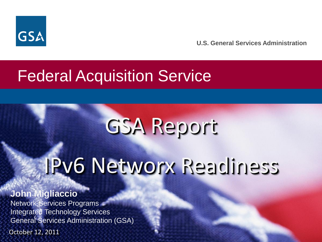

# Federal Acquisition Service

# GSA Report

# IPv6 Networx Readiness

**John Migliaccio** Network Services Programs Integrated Technology Services General Services Administration (GSA)

October 12, 2011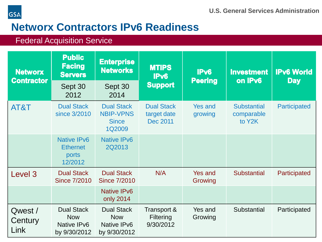



## **Networx Contractors IPv6 Readiness**

#### Federal Acquisition Service

| <b>Networx</b><br><b>Contractor</b> | <b>Public</b><br><b>Facing</b><br><b>Servers</b><br>Sept 30    | <b>Enterprise</b><br><b>Networks</b><br>Sept 30                 | <b>MTIPS</b><br>IPv6<br><b>Support</b>       | IPv6<br><b>Peering</b>    | <b>Investment</b><br>on IPv6               | <b>IPv6 World</b><br><b>Day</b> |
|-------------------------------------|----------------------------------------------------------------|-----------------------------------------------------------------|----------------------------------------------|---------------------------|--------------------------------------------|---------------------------------|
|                                     | 2012                                                           | 2014                                                            |                                              |                           |                                            |                                 |
| AT&T                                | <b>Dual Stack</b><br>since 3/2010                              | <b>Dual Stack</b><br><b>NBIP-VPNS</b><br><b>Since</b><br>1Q2009 | <b>Dual Stack</b><br>target date<br>Dec 2011 | <b>Yes and</b><br>growing | <b>Substantial</b><br>comparable<br>to Y2K | Participated                    |
|                                     | <b>Native IPv6</b><br><b>Ethernet</b><br>ports<br>12/2012      | <b>Native IPv6</b><br>2Q2013                                    |                                              |                           |                                            |                                 |
| Level 3                             | <b>Dual Stack</b><br><b>Since 7/2010</b>                       | <b>Dual Stack</b><br><b>Since 7/2010</b>                        | N/A                                          | Yes and<br>Growing        | <b>Substantial</b>                         | Participated                    |
|                                     |                                                                | <b>Native IPv6</b><br>only 2014                                 |                                              |                           |                                            |                                 |
| Qwest /<br>Century<br>Link          | <b>Dual Stack</b><br><b>Now</b><br>Native IPv6<br>by 9/30/2012 | <b>Dual Stack</b><br><b>Now</b><br>Native IPv6<br>by 9/30/2012  | Transport &<br><b>Filtering</b><br>9/30/2012 | Yes and<br>Growing        | Substantial                                | Participated                    |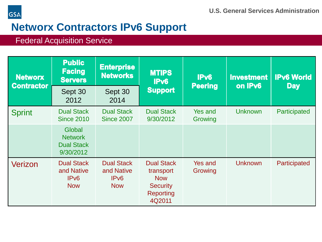

### **GSA**

# **Networx Contractors IPv6 Support**

#### Federal Acquisition Service

| <b>Networx</b><br><b>Contractor</b> | <b>Public</b><br><b>Facing</b><br><b>Servers</b>                  | <b>Enterprise</b><br><b>Networks</b>                              | <b>MTIPS</b><br>IP <sub>v6</sub><br><b>Support</b>                                     | IP <sub>v6</sub><br><b>Peering</b> | <b>Investment</b><br>on IPv6 | <b>IPv6 World</b><br><b>Day</b> |
|-------------------------------------|-------------------------------------------------------------------|-------------------------------------------------------------------|----------------------------------------------------------------------------------------|------------------------------------|------------------------------|---------------------------------|
|                                     | Sept 30<br>2012                                                   | Sept 30<br>2014                                                   |                                                                                        |                                    |                              |                                 |
| <b>Sprint</b>                       | <b>Dual Stack</b><br><b>Since 2010</b>                            | <b>Dual Stack</b><br><b>Since 2007</b>                            | <b>Dual Stack</b><br>9/30/2012                                                         | <b>Yes and</b><br>Growing          | <b>Unknown</b>               | Participated                    |
|                                     | Global<br><b>Network</b><br><b>Dual Stack</b><br>9/30/2012        |                                                                   |                                                                                        |                                    |                              |                                 |
| Verizon                             | <b>Dual Stack</b><br>and Native<br>IP <sub>v6</sub><br><b>Now</b> | <b>Dual Stack</b><br>and Native<br>IP <sub>v6</sub><br><b>Now</b> | <b>Dual Stack</b><br>transport<br><b>Now</b><br><b>Security</b><br>Reporting<br>4Q2011 | <b>Yes and</b><br>Growing          | <b>Unknown</b>               | Participated                    |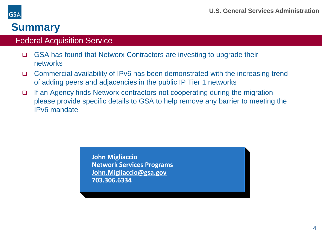

## **Summary**

#### Federal Acquisition Service

- □ GSA has found that Networx Contractors are investing to upgrade their networks
- Commercial availability of IPv6 has been demonstrated with the increasing trend of adding peers and adjacencies in the public IP Tier 1 networks
- □ If an Agency finds Networx contractors not cooperating during the migration please provide specific details to GSA to help remove any barrier to meeting the IPv6 mandate

**John Migliaccio Network Services Programs John.Migliaccio@gsa.gov 703.306.6334**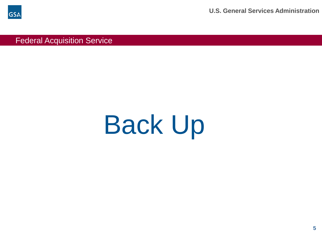

**U.S. General Services Administration**

Federal Acquisition Service

# Back Up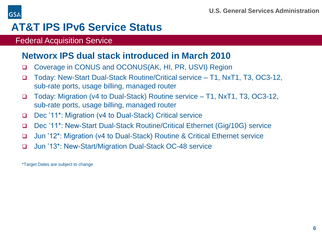

# **AT&T IPS IPv6 Service Status**

#### Federal Acquisition Service

#### **Networx IPS dual stack introduced in March 2010**

- Coverage in CONUS and OCONUS(AK, HI, PR, USVI) Region
- Today: New-Start Dual-Stack Routine/Critical service T1, NxT1, T3, OC3-12, sub-rate ports, usage billing, managed router
- Today: Migration (v4 to Dual-Stack) Routine service T1, NxT1, T3, OC3-12, sub-rate ports, usage billing, managed router
- Dec '11\*: Migration (v4 to Dual-Stack) Critical service
- Dec '11\*: New-Start Dual-Stack Routine/Critical Ethernet (Gig/10G) service
- Jun '12\*: Migration (v4 to Dual-Stack) Routine & Critical Ethernet service
- Jun '13\*: New-Start/Migration Dual-Stack OC-48 service

\*Target Dates are subject to change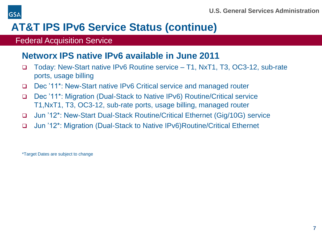

# **AT&T IPS IPv6 Service Status (continue)**

#### Federal Acquisition Service

#### **Networx IPS native IPv6 available in June 2011**

- Today: New-Start native IPv6 Routine service T1, NxT1, T3, OC3-12, sub-rate ports, usage billing
- Dec '11\*: New-Start native IPv6 Critical service and managed router
- Dec '11\*: Migration (Dual-Stack to Native IPv6) Routine/Critical service T1,NxT1, T3, OC3-12, sub-rate ports, usage billing, managed router
- Jun '12\*: New-Start Dual-Stack Routine/Critical Ethernet (Gig/10G) service
- Jun '12\*: Migration (Dual-Stack to Native IPv6)Routine/Critical Ethernet

\*Target Dates are subject to change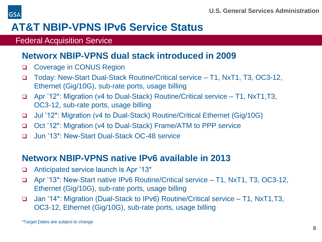

# **AT&T NBIP-VPNS IPv6 Service Status**

#### Federal Acquisition Service

#### **Networx NBIP-VPNS dual stack introduced in 2009**

- □ Coverage in CONUS Region
- Today: New-Start Dual-Stack Routine/Critical service T1, NxT1, T3, OC3-12, Ethernet (Gig/10G), sub-rate ports, usage billing
- Apr '12\*: Migration (v4 to Dual-Stack) Routine/Critical service T1, NxT1,T3, OC3-12, sub-rate ports, usage billing
- Jul '12\*: Migration (v4 to Dual-Stack) Routine/Critical Ethernet (Gig/10G)
- Oct '12\*: Migration (v4 to Dual-Stack) Frame/ATM to PPP service
- Jun '13\*: New-Start Dual-Stack OC-48 service

#### **Networx NBIP-VPNS native IPv6 available in 2013**

- □ Anticipated service launch is Apr '13\*
- Apr '13\*: New-Start native IPv6 Routine/Critical service T1, NxT1, T3, OC3-12, Ethernet (Gig/10G), sub-rate ports, usage billing
- Jan '14\*: Migration (Dual-Stack to IPv6) Routine/Critical service T1, NxT1,T3, OC3-12, Ethernet (Gig/10G), sub-rate ports, usage billing